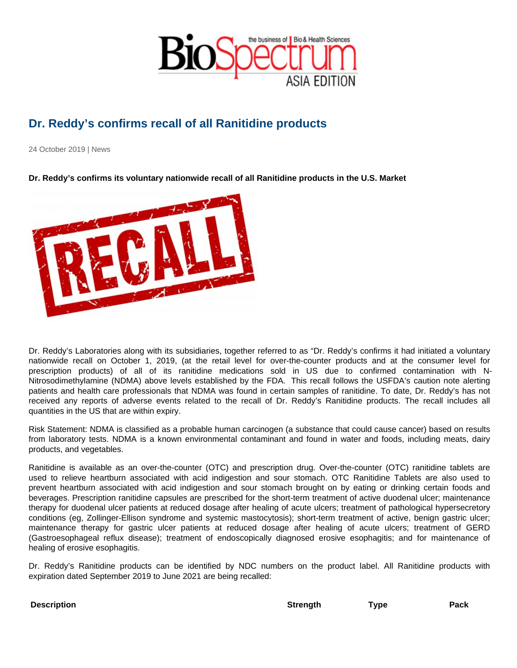## Dr. Reddy's confirms recall of all Ranitidine products

24 October 2019 | News

Dr. Reddy's confirms its voluntary nationwide recall of all Ranitidine products in the U.S. Market

Dr. Reddy's Laboratories along with its subsidiaries, together referred to as "Dr. Reddy's confirms it had initiated a voluntary nationwide recall on October 1, 2019, (at the retail level for over-the-counter products and at the consumer level for prescription products) of all of its ranitidine medications sold in US due to confirmed contamination with N-Nitrosodimethylamine (NDMA) above levels established by the FDA. This recall follows the USFDA's caution note alerting patients and health care professionals that NDMA was found in certain samples of ranitidine. To date, Dr. Reddy's has not received any reports of adverse events related to the recall of Dr. Reddy's Ranitidine products. The recall includes all quantities in the US that are within expiry.

Risk Statement: NDMA is classified as a probable human carcinogen (a substance that could cause cancer) based on results from laboratory tests. NDMA is a known environmental contaminant and found in water and foods, including meats, dairy products, and vegetables.

Ranitidine is available as an over-the-counter (OTC) and prescription drug. Over-the-counter (OTC) ranitidine tablets are used to relieve heartburn associated with acid indigestion and sour stomach. OTC Ranitidine Tablets are also used to prevent heartburn associated with acid indigestion and sour stomach brought on by eating or drinking certain foods and beverages. Prescription ranitidine capsules are prescribed for the short-term treatment of active duodenal ulcer; maintenance therapy for duodenal ulcer patients at reduced dosage after healing of acute ulcers; treatment of pathological hypersecretory conditions (eg, Zollinger-Ellison syndrome and systemic mastocytosis); short-term treatment of active, benign gastric ulcer; maintenance therapy for gastric ulcer patients at reduced dosage after healing of acute ulcers; treatment of GERD (Gastroesophageal reflux disease); treatment of endoscopically diagnosed erosive esophagitis; and for maintenance of healing of erosive esophagitis.

Dr. Reddy's Ranitidine products can be identified by NDC numbers on the product label. All Ranitidine products with expiration dated September 2019 to June 2021 are being recalled:

Description Strength Type Pack NDC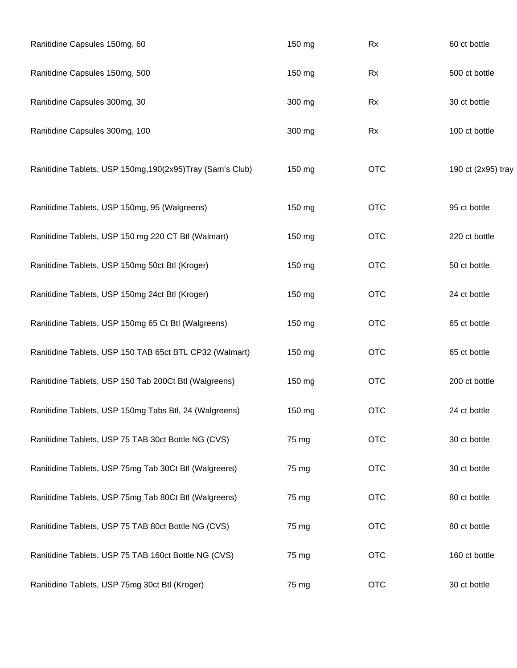| Ranitidine Capsules 150mg, 60                              | 150 mg | Rx         | 60 ct bottle       |
|------------------------------------------------------------|--------|------------|--------------------|
| Ranitidine Capsules 150mg, 500                             | 150 mg | <b>Rx</b>  | 500 ct bottle      |
| Ranitidine Capsules 300mg, 30                              | 300 mg | Rx         | 30 ct bottle       |
| Ranitidine Capsules 300mg, 100                             | 300 mg | Rx         | 100 ct bottle      |
| Ranitidine Tablets, USP 150mg, 190(2x95) Tray (Sam's Club) | 150 mg | <b>OTC</b> | 190 ct (2x95) tray |
| Ranitidine Tablets, USP 150mg, 95 (Walgreens)              | 150 mg | <b>OTC</b> | 95 ct bottle       |
| Ranitidine Tablets, USP 150 mg 220 CT Btl (Walmart)        | 150 mg | <b>OTC</b> | 220 ct bottle      |
| Ranitidine Tablets, USP 150mg 50ct Btl (Kroger)            | 150 mg | <b>OTC</b> | 50 ct bottle       |
| Ranitidine Tablets, USP 150mg 24ct Btl (Kroger)            | 150 mg | <b>OTC</b> | 24 ct bottle       |
| Ranitidine Tablets, USP 150mg 65 Ct Btl (Walgreens)        | 150 mg | <b>OTC</b> | 65 ct bottle       |
| Ranitidine Tablets, USP 150 TAB 65ct BTL CP32 (Walmart)    | 150 mg | <b>OTC</b> | 65 ct bottle       |
| Ranitidine Tablets, USP 150 Tab 200Ct Btl (Walgreens)      | 150 mg | <b>OTC</b> | 200 ct bottle      |
| Ranitidine Tablets, USP 150mg Tabs Btl, 24 (Walgreens)     | 150 mg | <b>OTC</b> | 24 ct bottle       |
| Ranitidine Tablets, USP 75 TAB 30ct Bottle NG (CVS)        | 75 mg  | <b>OTC</b> | 30 ct bottle       |
| Ranitidine Tablets, USP 75mg Tab 30Ct Btl (Walgreens)      | 75 mg  | <b>OTC</b> | 30 ct bottle       |
| Ranitidine Tablets, USP 75mg Tab 80Ct Btl (Walgreens)      | 75 mg  | <b>OTC</b> | 80 ct bottle       |
| Ranitidine Tablets, USP 75 TAB 80ct Bottle NG (CVS)        | 75 mg  | <b>OTC</b> | 80 ct bottle       |
| Ranitidine Tablets, USP 75 TAB 160ct Bottle NG (CVS)       | 75 mg  | <b>OTC</b> | 160 ct bottle      |
| Ranitidine Tablets, USP 75mg 30ct Btl (Kroger)             | 75 mg  | <b>OTC</b> | 30 ct bottle       |